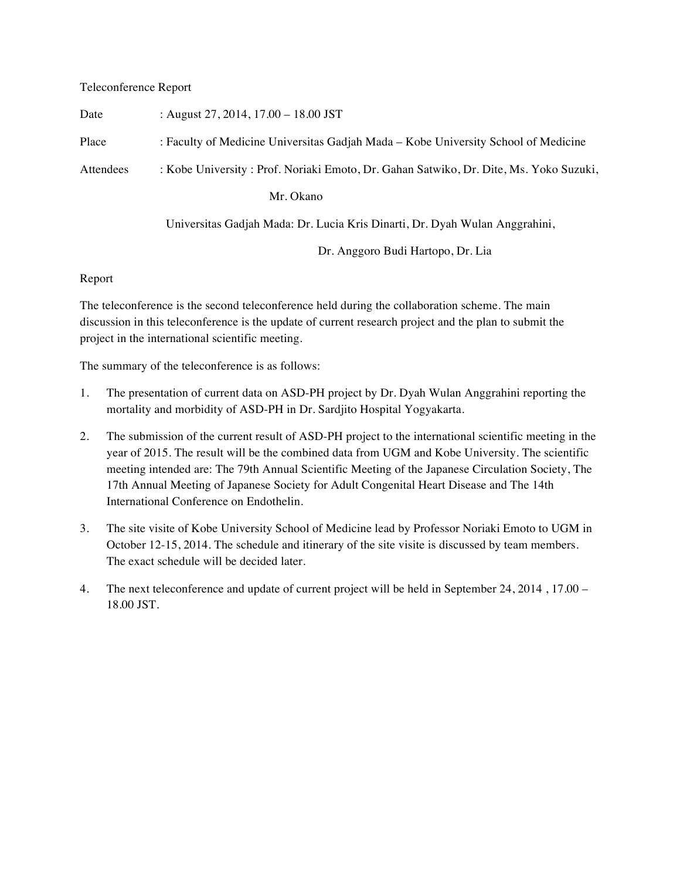## Teleconference Report

| Date      | : August 27, 2014, $17.00 - 18.00$ JST                                                 |
|-----------|----------------------------------------------------------------------------------------|
| Place     | : Faculty of Medicine Universitas Gadjah Mada – Kobe University School of Medicine     |
| Attendees | : Kobe University : Prof. Noriaki Emoto, Dr. Gahan Satwiko, Dr. Dite, Ms. Yoko Suzuki, |
|           | Mr. Okano                                                                              |
|           | Universitas Gadjah Mada: Dr. Lucia Kris Dinarti, Dr. Dyah Wulan Anggrahini,            |
|           | Dr. Anggoro Budi Hartopo, Dr. Lia                                                      |

## Report

The teleconference is the second teleconference held during the collaboration scheme. The main discussion in this teleconference is the update of current research project and the plan to submit the project in the international scientific meeting.

The summary of the teleconference is as follows:

- 1. The presentation of current data on ASD-PH project by Dr. Dyah Wulan Anggrahini reporting the mortality and morbidity of ASD-PH in Dr. Sardjito Hospital Yogyakarta.
- 2. The submission of the current result of ASD-PH project to the international scientific meeting in the year of 2015. The result will be the combined data from UGM and Kobe University. The scientific meeting intended are: The 79th Annual Scientific Meeting of the Japanese Circulation Society, The 17th Annual Meeting of Japanese Society for Adult Congenital Heart Disease and The 14th International Conference on Endothelin.
- 3. The site visite of Kobe University School of Medicine lead by Professor Noriaki Emoto to UGM in October 12-15, 2014. The schedule and itinerary of the site visite is discussed by team members. The exact schedule will be decided later.
- 4. The next teleconference and update of current project will be held in September 24, 2014 , 17.00 18.00 JST.